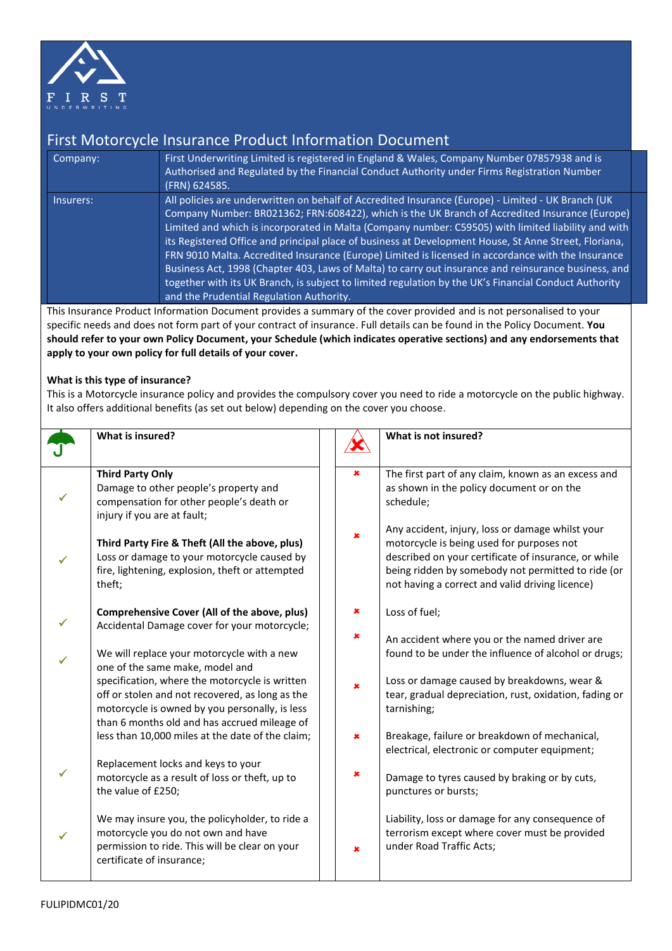

## First Motorcycle Insurance Product Information Document

| Company:  | First Underwriting Limited is registered in England & Wales, Company Number 07857938 and is<br>Authorised and Regulated by the Financial Conduct Authority under Firms Registration Number<br>(FRN) 624585.                                                                                                                                                                                                                                                                                                                                                                                                                                                                                                                                                                             |
|-----------|-----------------------------------------------------------------------------------------------------------------------------------------------------------------------------------------------------------------------------------------------------------------------------------------------------------------------------------------------------------------------------------------------------------------------------------------------------------------------------------------------------------------------------------------------------------------------------------------------------------------------------------------------------------------------------------------------------------------------------------------------------------------------------------------|
| Insurers: | All policies are underwritten on behalf of Accredited Insurance (Europe) - Limited - UK Branch (UK<br>Company Number: BR021362; FRN:608422), which is the UK Branch of Accredited Insurance (Europe)<br>Limited and which is incorporated in Malta (Company number: C59505) with limited liability and with<br>its Registered Office and principal place of business at Development House, St Anne Street, Floriana,<br>FRN 9010 Malta. Accredited Insurance (Europe) Limited is licensed in accordance with the Insurance<br>Business Act, 1998 (Chapter 403, Laws of Malta) to carry out insurance and reinsurance business, and<br>together with its UK Branch, is subject to limited regulation by the UK's Financial Conduct Authority<br>and the Prudential Regulation Authority. |

This Insurance Product Information Document provides a summary of the cover provided and is not personalised to your specific needs and does not form part of your contract of insurance. Full details can be found in the Policy Document. **You should refer to your own Policy Document, your Schedule (which indicates operative sections) and any endorsements that apply to your own policy for full details of your cover.**

## **What is this type of insurance?**

This is a Motorcycle insurance policy and provides the compulsory cover you need to ride a motorcycle on the public highway. It also offers additional benefits (as set out below) depending on the cover you choose.

| What is insured?                                                                                                                                                                         |   | What is not insured?                                                                                                                                                                                                                                           |
|------------------------------------------------------------------------------------------------------------------------------------------------------------------------------------------|---|----------------------------------------------------------------------------------------------------------------------------------------------------------------------------------------------------------------------------------------------------------------|
| <b>Third Party Only</b><br>Damage to other people's property and<br>compensation for other people's death or<br>injury if you are at fault;                                              | × | The first part of any claim, known as an excess and<br>as shown in the policy document or on the<br>schedule;                                                                                                                                                  |
| Third Party Fire & Theft (All the above, plus)<br>Loss or damage to your motorcycle caused by<br>fire, lightening, explosion, theft or attempted<br>theft;                               | × | Any accident, injury, loss or damage whilst your<br>motorcycle is being used for purposes not<br>described on your certificate of insurance, or while<br>being ridden by somebody not permitted to ride (or<br>not having a correct and valid driving licence) |
| Comprehensive Cover (All of the above, plus)<br>Accidental Damage cover for your motorcycle;                                                                                             | × | Loss of fuel;<br>An accident where you or the named driver are                                                                                                                                                                                                 |
| We will replace your motorcycle with a new<br>one of the same make, model and<br>specification, where the motorcycle is written<br>off or stolen and not recovered, as long as the       | × | found to be under the influence of alcohol or drugs;<br>Loss or damage caused by breakdowns, wear &<br>tear, gradual depreciation, rust, oxidation, fading or                                                                                                  |
| motorcycle is owned by you personally, is less<br>than 6 months old and has accrued mileage of<br>less than 10,000 miles at the date of the claim;<br>Replacement locks and keys to your |   | tarnishing;<br>Breakage, failure or breakdown of mechanical,<br>electrical, electronic or computer equipment;                                                                                                                                                  |
| motorcycle as a result of loss or theft, up to<br>the value of £250;                                                                                                                     | × | Damage to tyres caused by braking or by cuts,<br>punctures or bursts;                                                                                                                                                                                          |
| We may insure you, the policyholder, to ride a<br>motorcycle you do not own and have<br>permission to ride. This will be clear on your<br>certificate of insurance;                      | × | Liability, loss or damage for any consequence of<br>terrorism except where cover must be provided<br>under Road Traffic Acts;                                                                                                                                  |